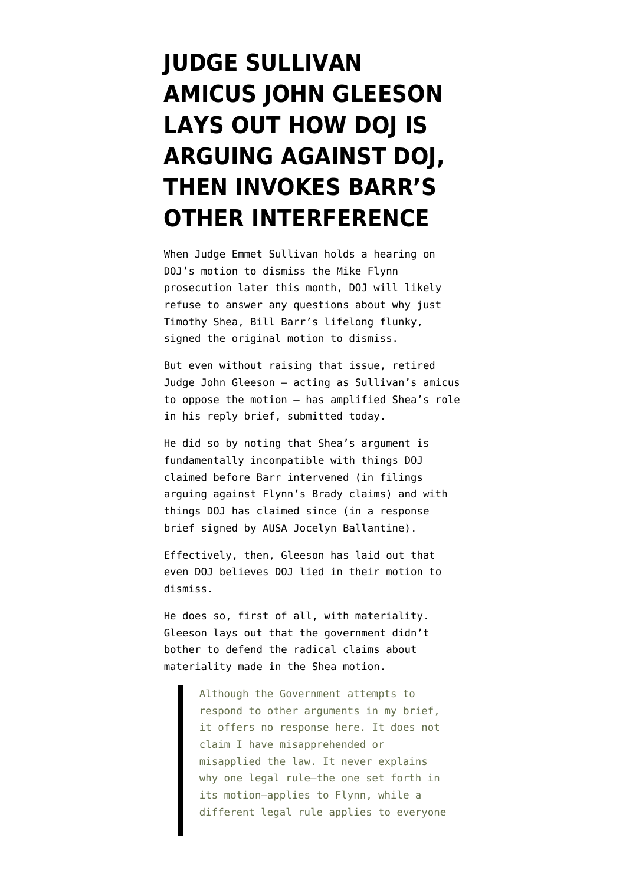## **[JUDGE SULLIVAN](https://www.emptywheel.net/2020/09/11/john-gleeson-lays-out-how-doj-is-arguing-against-doj-then-invokes-barrs-other-interference/) [AMICUS JOHN GLEESON](https://www.emptywheel.net/2020/09/11/john-gleeson-lays-out-how-doj-is-arguing-against-doj-then-invokes-barrs-other-interference/) [LAYS OUT HOW DOJ IS](https://www.emptywheel.net/2020/09/11/john-gleeson-lays-out-how-doj-is-arguing-against-doj-then-invokes-barrs-other-interference/) [ARGUING AGAINST DOJ,](https://www.emptywheel.net/2020/09/11/john-gleeson-lays-out-how-doj-is-arguing-against-doj-then-invokes-barrs-other-interference/) [THEN INVOKES BARR'S](https://www.emptywheel.net/2020/09/11/john-gleeson-lays-out-how-doj-is-arguing-against-doj-then-invokes-barrs-other-interference/) [OTHER INTERFERENCE](https://www.emptywheel.net/2020/09/11/john-gleeson-lays-out-how-doj-is-arguing-against-doj-then-invokes-barrs-other-interference/)**

When Judge Emmet Sullivan holds a hearing on DOJ's motion to dismiss the Mike Flynn prosecution later this month, DOJ will likely refuse to answer any questions about why just Timothy Shea, Bill Barr's lifelong flunky, signed [the original motion to dismiss](https://www.courtlistener.com/recap/gov.uscourts.dcd.191592/gov.uscourts.dcd.191592.198.0_6.pdf).

But even without raising that issue, retired Judge John Gleeson — acting as Sullivan's amicus to oppose the motion — has amplified Shea's role in [his reply brief,](https://www.courtlistener.com/recap/gov.uscourts.dcd.191592/gov.uscourts.dcd.191592.243.0_6.pdf) submitted today.

He did so by noting that Shea's argument is fundamentally incompatible with things DOJ claimed before Barr intervened (in [filings](https://www.courtlistener.com/recap/gov.uscourts.dcd.191592/gov.uscourts.dcd.191592.132.0_1.pdf) arguing against Flynn's Brady claims) and with things DOJ has claimed since (in a [response](https://www.courtlistener.com/recap/gov.uscourts.dcd.191592/gov.uscourts.dcd.191592.227.0_10.pdf) [brief](https://www.courtlistener.com/recap/gov.uscourts.dcd.191592/gov.uscourts.dcd.191592.227.0_10.pdf) signed by AUSA Jocelyn Ballantine).

Effectively, then, Gleeson has laid out that even DOJ believes DOJ lied in their motion to dismiss.

He does so, first of all, with materiality. Gleeson lays out that the government didn't bother to defend the radical claims about materiality made in the Shea motion.

> Although the Government attempts to respond to other arguments in my brief, it offers no response here. It does not claim I have misapprehended or misapplied the law. It never explains why one legal rule—the one set forth in its motion—applies to Flynn, while a different legal rule applies to everyone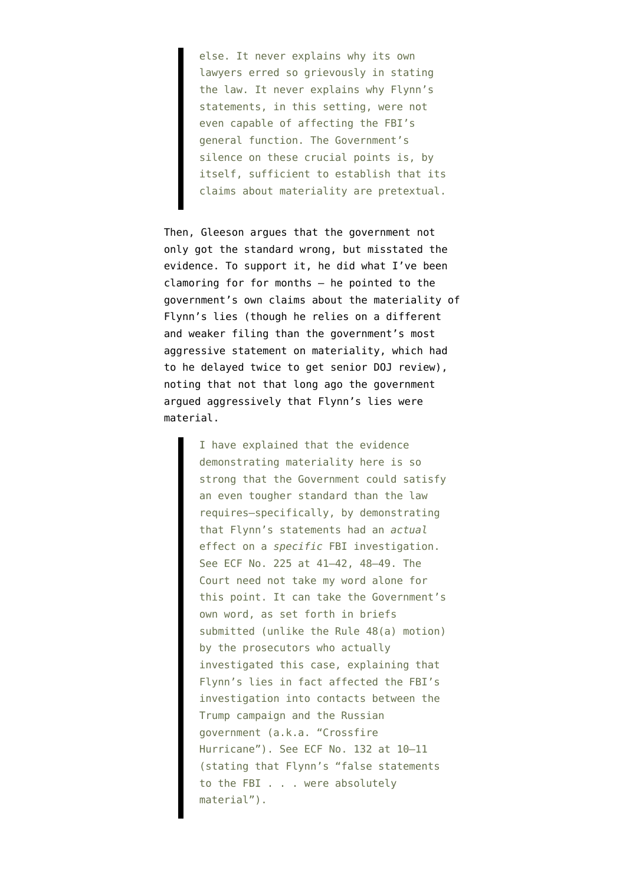else. It never explains why its own lawyers erred so grievously in stating the law. It never explains why Flynn's statements, in this setting, were not even capable of affecting the FBI's general function. The Government's silence on these crucial points is, by itself, sufficient to establish that its claims about materiality are pretextual.

Then, Gleeson argues that the government not only got the standard wrong, but misstated the evidence. To support it, he did what [I've been](https://www.emptywheel.net/2020/05/15/schrodingers-materiality-how-to-both-sides-mike-flynn-journalism-like-a-rock-star/) [clamoring for for months](https://www.emptywheel.net/2020/05/15/schrodingers-materiality-how-to-both-sides-mike-flynn-journalism-like-a-rock-star/) — he pointed to the government's own claims about the materiality of Flynn's lies (though he relies on a different and weaker filing than [the government's most](https://www.courtlistener.com/recap/gov.uscourts.dcd.191592/gov.uscourts.dcd.191592.150.0_1.pdf) [aggressive statement on materiality](https://www.courtlistener.com/recap/gov.uscourts.dcd.191592/gov.uscourts.dcd.191592.150.0_1.pdf), which had to he delayed twice to get senior DOJ review), noting that not that long ago the government argued aggressively that Flynn's lies were material.

> I have explained that the evidence demonstrating materiality here is so strong that the Government could satisfy an even tougher standard than the law requires—specifically, by demonstrating that Flynn's statements had an *actual* effect on a *specific* FBI investigation. See ECF No. 225 at 41–42, 48–49. The Court need not take my word alone for this point. It can take the Government's own word, as set forth in briefs submitted (unlike the Rule 48(a) motion) by the prosecutors who actually investigated this case, explaining that Flynn's lies in fact affected the FBI's investigation into contacts between the Trump campaign and the Russian government (a.k.a. "Crossfire Hurricane"). See ECF No. 132 at 10–11 (stating that Flynn's "false statements to the FBI . . . were absolutely material").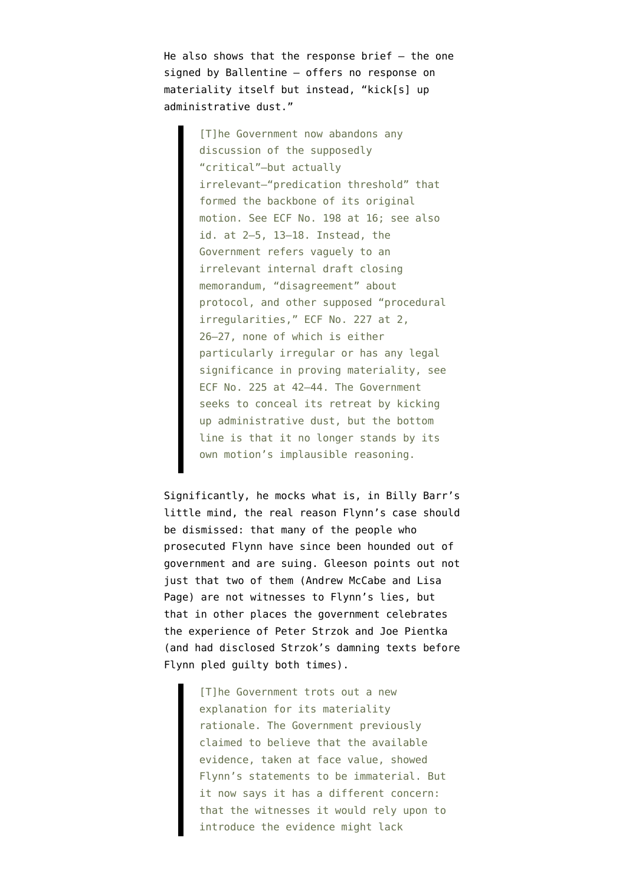He also shows that the [response brief](https://www.courtlistener.com/recap/gov.uscourts.dcd.191592/gov.uscourts.dcd.191592.227.0_10.pdf)  $-$  the one signed by Ballentine — offers no response on materiality itself but instead, "kick[s] up administrative dust."

> [T]he Government now abandons any discussion of the supposedly "critical"—but actually irrelevant—"predication threshold" that formed the backbone of its original motion. See ECF No. 198 at 16; see also id. at 2–5, 13–18. Instead, the Government refers vaguely to an irrelevant internal draft closing memorandum, "disagreement" about protocol, and other supposed "procedural irregularities," ECF No. 227 at 2, 26–27, none of which is either particularly irregular or has any legal significance in proving materiality, see ECF No. 225 at 42–44. The Government seeks to conceal its retreat by kicking up administrative dust, but the bottom line is that it no longer stands by its own motion's implausible reasoning.

Significantly, he mocks what is, in Billy Barr's little mind, the real reason Flynn's case should be dismissed: that many of the people who prosecuted Flynn have since been hounded out of government and are suing. Gleeson points out not just that two of them (Andrew McCabe and Lisa Page) are not witnesses to Flynn's lies, but that in other places the government celebrates the experience of Peter Strzok and Joe Pientka (and had disclosed Strzok's damning texts before Flynn pled guilty both times).

> [T]he Government trots out a new explanation for its materiality rationale. The Government previously claimed to believe that the available evidence, taken at face value, showed Flynn's statements to be immaterial. But it now says it has a different concern: that the witnesses it would rely upon to introduce the evidence might lack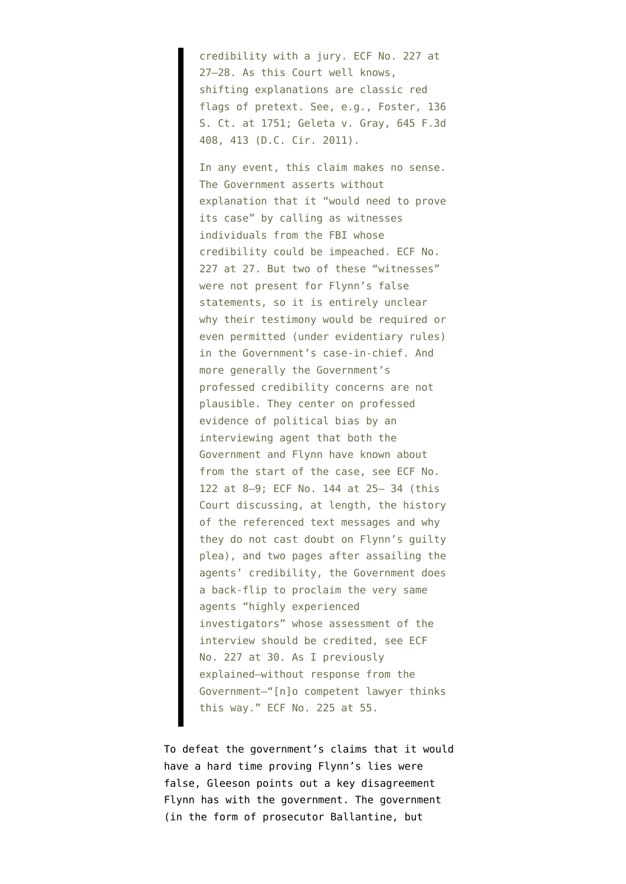credibility with a jury. ECF No. 227 at 27–28. As this Court well knows, shifting explanations are classic red flags of pretext. See, e.g., Foster, 136 S. Ct. at 1751; Geleta v. Gray, 645 F.3d 408, 413 (D.C. Cir. 2011).

In any event, this claim makes no sense. The Government asserts without explanation that it "would need to prove its case" by calling as witnesses individuals from the FBI whose credibility could be impeached. ECF No. 227 at 27. But two of these "witnesses" were not present for Flynn's false statements, so it is entirely unclear why their testimony would be required or even permitted (under evidentiary rules) in the Government's case-in-chief. And more generally the Government's professed credibility concerns are not plausible. They center on professed evidence of political bias by an interviewing agent that both the Government and Flynn have known about from the start of the case, see ECF No. 122 at 8–9; ECF No. 144 at 25– 34 (this Court discussing, at length, the history of the referenced text messages and why they do not cast doubt on Flynn's guilty plea), and two pages after assailing the agents' credibility, the Government does a back-flip to proclaim the very same agents "highly experienced investigators" whose assessment of the interview should be credited, see ECF No. 227 at 30. As I previously explained—without response from the Government—"[n]o competent lawyer thinks this way." ECF No. 225 at 55.

To defeat the government's claims that it would have a hard time proving Flynn's lies were false, Gleeson points out a key disagreement Flynn has with the government. The government (in the form of prosecutor Ballantine, but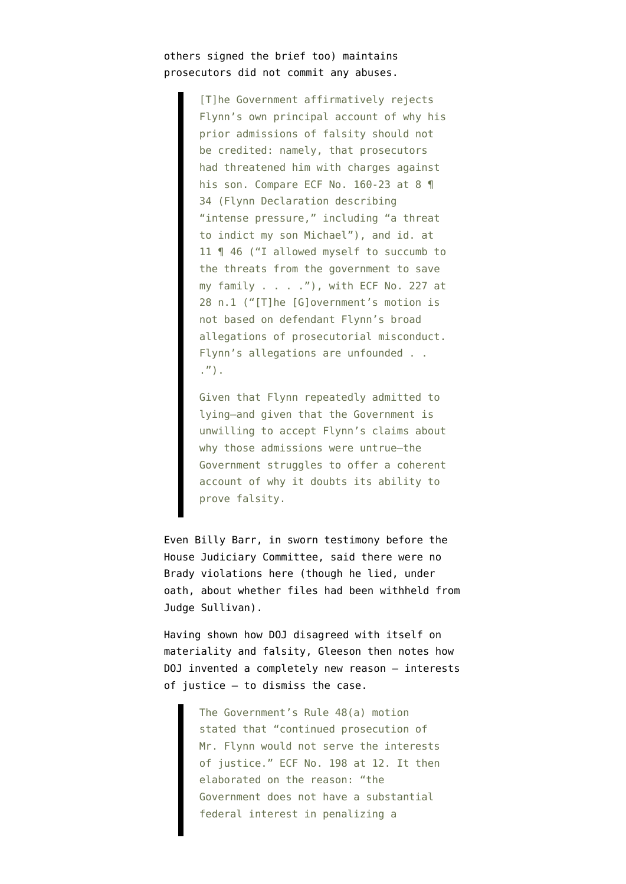## others signed the brief too) maintains prosecutors did not commit any abuses.

[T]he Government affirmatively rejects Flynn's own principal account of why his prior admissions of falsity should not be credited: namely, that prosecutors had threatened him with charges against his son. Compare ECF No. 160-23 at 8 1 34 (Flynn Declaration describing "intense pressure," including "a threat to indict my son Michael"), and id. at 11 ¶ 46 ("I allowed myself to succumb to the threats from the government to save my family  $\ldots$  ."), with ECF No. 227 at 28 n.1 ("[T]he [G]overnment's motion is not based on defendant Flynn's broad allegations of prosecutorial misconduct. Flynn's allegations are unfounded . . .").

Given that Flynn repeatedly admitted to lying—and given that the Government is unwilling to accept Flynn's claims about why those admissions were untrue—the Government struggles to offer a coherent account of why it doubts its ability to prove falsity.

Even Billy Barr, in [sworn testimony before the](https://www.c-span.org/video/?c4906000/user-clip-brady-violation) [House Judiciary Committee,](https://www.c-span.org/video/?c4906000/user-clip-brady-violation) said there were no Brady violations here (though he lied, under oath, about whether files had been withheld from Judge Sullivan).

Having shown how DOJ disagreed with itself on materiality and falsity, Gleeson then notes how DOJ invented a completely new reason — interests of justice — to dismiss the case.

> The Government's Rule 48(a) motion stated that "continued prosecution of Mr. Flynn would not serve the interests of justice." ECF No. 198 at 12. It then elaborated on the reason: "the Government does not have a substantial federal interest in penalizing a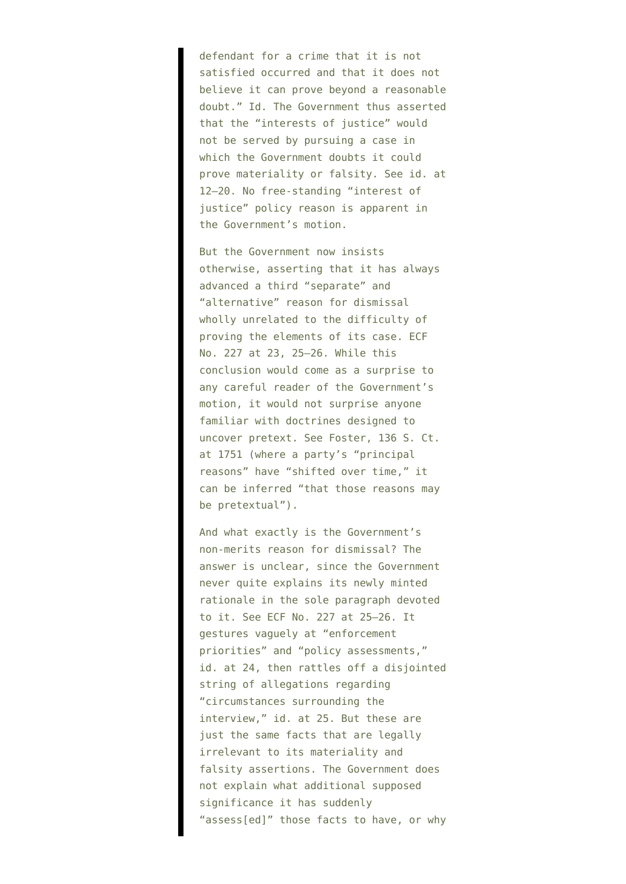defendant for a crime that it is not satisfied occurred and that it does not believe it can prove beyond a reasonable doubt." Id. The Government thus asserted that the "interests of justice" would not be served by pursuing a case in which the Government doubts it could prove materiality or falsity. See id. at 12–20. No free-standing "interest of justice" policy reason is apparent in the Government's motion.

But the Government now insists otherwise, asserting that it has always advanced a third "separate" and "alternative" reason for dismissal wholly unrelated to the difficulty of proving the elements of its case. ECF No. 227 at 23, 25–26. While this conclusion would come as a surprise to any careful reader of the Government's motion, it would not surprise anyone familiar with doctrines designed to uncover pretext. See Foster, 136 S. Ct. at 1751 (where a party's "principal reasons" have "shifted over time," it can be inferred "that those reasons may be pretextual").

And what exactly is the Government's non-merits reason for dismissal? The answer is unclear, since the Government never quite explains its newly minted rationale in the sole paragraph devoted to it. See ECF No. 227 at 25–26. It gestures vaguely at "enforcement priorities" and "policy assessments," id. at 24, then rattles off a disjointed string of allegations regarding "circumstances surrounding the interview," id. at 25. But these are just the same facts that are legally irrelevant to its materiality and falsity assertions. The Government does not explain what additional supposed significance it has suddenly "assess[ed]" those facts to have, or why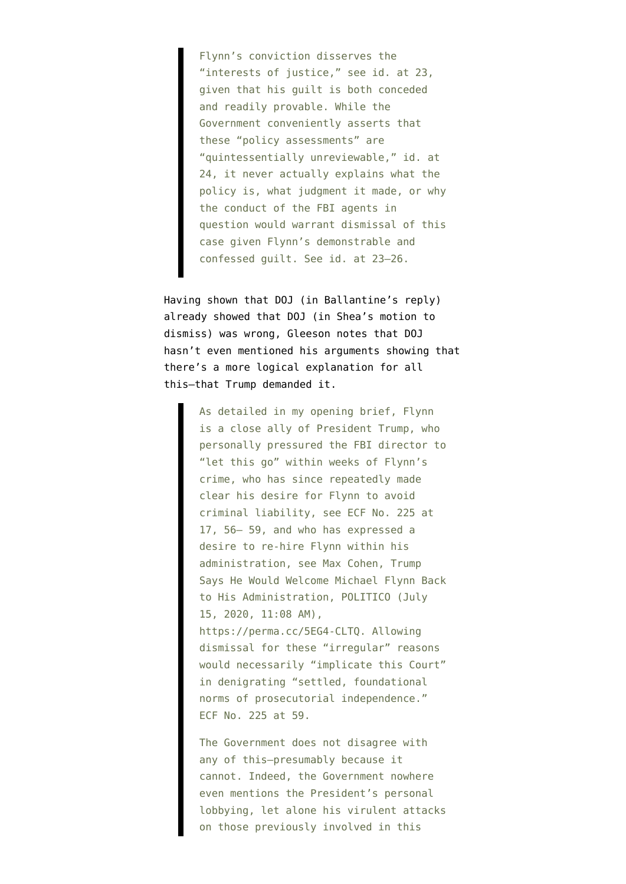Flynn's conviction disserves the "interests of justice," see id. at 23, given that his guilt is both conceded and readily provable. While the Government conveniently asserts that these "policy assessments" are "quintessentially unreviewable," id. at 24, it never actually explains what the policy is, what judgment it made, or why the conduct of the FBI agents in question would warrant dismissal of this case given Flynn's demonstrable and confessed guilt. See id. at 23–26.

Having shown that DOJ (in Ballantine's reply) already showed that DOJ (in Shea's motion to dismiss) was wrong, Gleeson notes that DOJ hasn't even mentioned his arguments showing that there's a more logical explanation for all this–that Trump demanded it.

> As detailed in my opening brief, Flynn is a close ally of President Trump, who personally pressured the FBI director to "let this go" within weeks of Flynn's crime, who has since repeatedly made clear his desire for Flynn to avoid criminal liability, see ECF No. 225 at 17, 56– 59, and who has expressed a desire to re-hire Flynn within his administration, see Max Cohen, Trump Says He Would Welcome Michael Flynn Back to His Administration, POLITICO (July 15, 2020, 11:08 AM), https://perma.cc/5EG4-CLTQ. Allowing dismissal for these "irregular" reasons would necessarily "implicate this Court" in denigrating "settled, foundational norms of prosecutorial independence." ECF No. 225 at 59.

> The Government does not disagree with any of this—presumably because it cannot. Indeed, the Government nowhere even mentions the President's personal lobbying, let alone his virulent attacks on those previously involved in this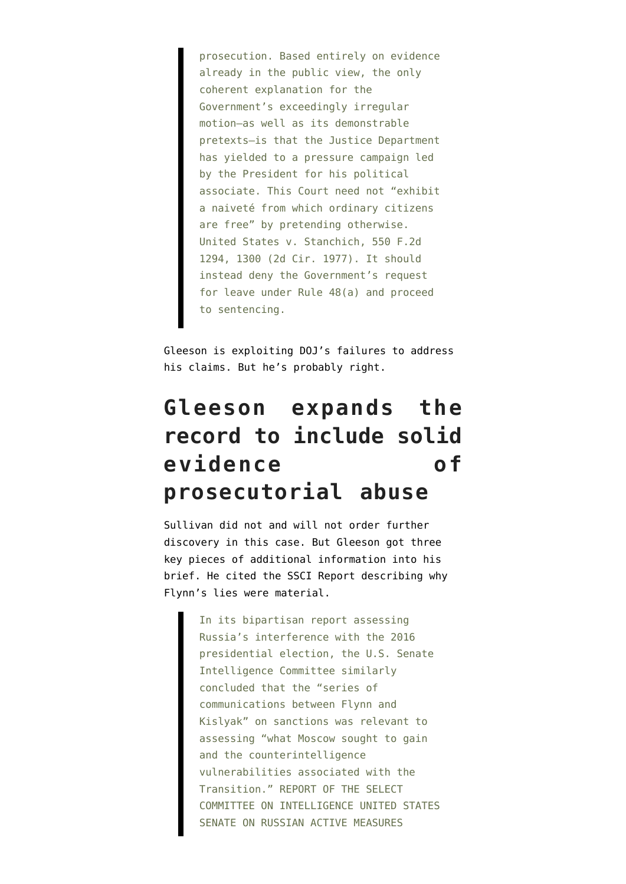prosecution. Based entirely on evidence already in the public view, the only coherent explanation for the Government's exceedingly irregular motion—as well as its demonstrable pretexts—is that the Justice Department has yielded to a pressure campaign led by the President for his political associate. This Court need not "exhibit a naiveté from which ordinary citizens are free" by pretending otherwise. United States v. Stanchich, 550 F.2d 1294, 1300 (2d Cir. 1977). It should instead deny the Government's request for leave under Rule 48(a) and proceed to sentencing.

Gleeson is exploiting DOJ's failures to address his claims. But he's probably right.

## **Gleeson expands the record to include solid evidence of prosecutorial abuse**

Sullivan did not and will not order further discovery in this case. But Gleeson got three key pieces of additional information into his brief. He cited the SSCI Report describing why Flynn's lies were material.

> In its bipartisan report assessing Russia's interference with the 2016 presidential election, the U.S. Senate Intelligence Committee similarly concluded that the "series of communications between Flynn and Kislyak" on sanctions was relevant to assessing "what Moscow sought to gain and the counterintelligence vulnerabilities associated with the Transition." REPORT OF THE SELECT COMMITTEE ON INTELLIGENCE UNITED STATES SENATE ON RUSSIAN ACTIVE MEASURES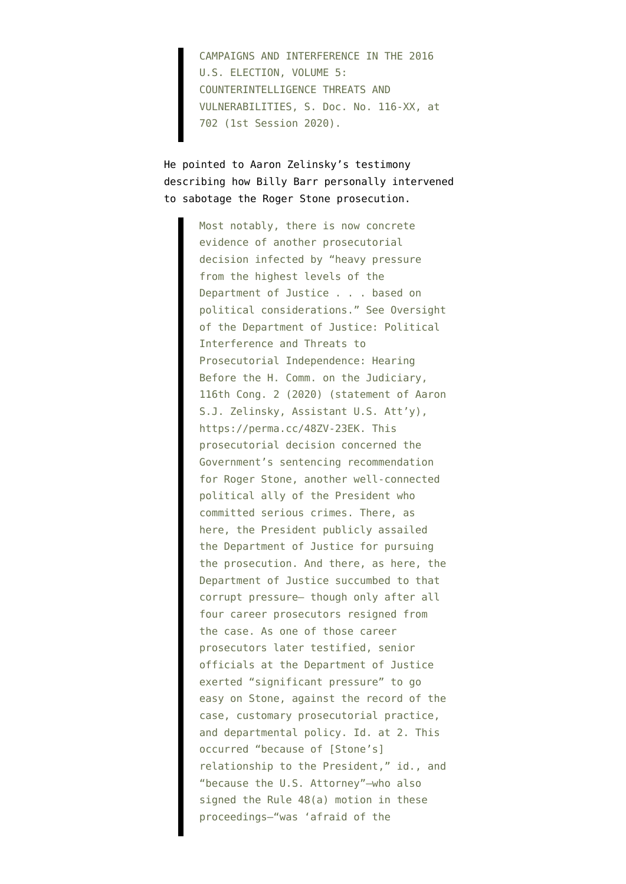CAMPAIGNS AND INTERFERENCE IN THE 2016 U.S. ELECTION, VOLUME 5: COUNTERINTELLIGENCE THREATS AND VULNERABILITIES, S. Doc. No. 116-XX, at 702 (1st Session 2020).

He pointed to Aaron Zelinsky's testimony describing how Billy Barr personally intervened to sabotage the Roger Stone prosecution.

> Most notably, there is now concrete evidence of another prosecutorial decision infected by "heavy pressure from the highest levels of the Department of Justice . . . based on political considerations." See Oversight of the Department of Justice: Political Interference and Threats to Prosecutorial Independence: Hearing Before the H. Comm. on the Judiciary, 116th Cong. 2 (2020) (statement of Aaron S.J. Zelinsky, Assistant U.S. Att'y), https://perma.cc/48ZV-23EK. This prosecutorial decision concerned the Government's sentencing recommendation for Roger Stone, another well-connected political ally of the President who committed serious crimes. There, as here, the President publicly assailed the Department of Justice for pursuing the prosecution. And there, as here, the Department of Justice succumbed to that corrupt pressure— though only after all four career prosecutors resigned from the case. As one of those career prosecutors later testified, senior officials at the Department of Justice exerted "significant pressure" to go easy on Stone, against the record of the case, customary prosecutorial practice, and departmental policy. Id. at 2. This occurred "because of [Stone's] relationship to the President," id., and "because the U.S. Attorney"—who also signed the Rule 48(a) motion in these proceedings—"was 'afraid of the